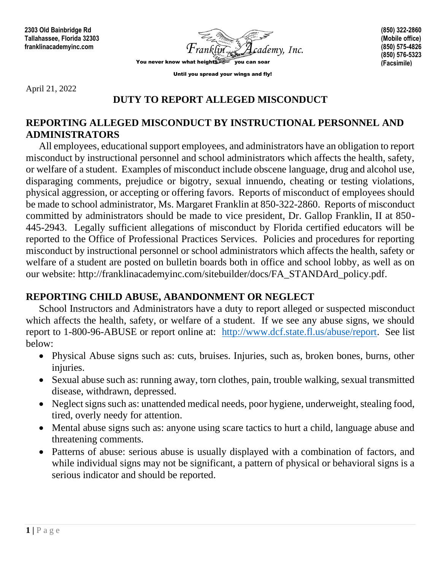

**(850) 322-2860 (Mobile office) (850) 575-4826 (850) 576-5323 (Facsimile)**

Until you spread your wings and fly!

April 21, 2022

## **DUTY TO REPORT ALLEGED MISCONDUCT**

## **REPORTING ALLEGED MISCONDUCT BY INSTRUCTIONAL PERSONNEL AND ADMINISTRATORS**

All employees, educational support employees, and administrators have an obligation to report misconduct by instructional personnel and school administrators which affects the health, safety, or welfare of a student. Examples of misconduct include obscene language, drug and alcohol use, disparaging comments, prejudice or bigotry, sexual innuendo, cheating or testing violations, physical aggression, or accepting or offering favors. Reports of misconduct of employees should be made to school administrator, Ms. Margaret Franklin at 850-322-2860. Reports of misconduct committed by administrators should be made to vice president, Dr. Gallop Franklin, II at 850- 445-2943. Legally sufficient allegations of misconduct by Florida certified educators will be reported to the Office of Professional Practices Services. Policies and procedures for reporting misconduct by instructional personnel or school administrators which affects the health, safety or welfare of a student are posted on bulletin boards both in office and school lobby, as well as on our website: http://franklinacademyinc.com/sitebuilder/docs/FA\_STANDArd\_policy.pdf.

## **REPORTING CHILD ABUSE, ABANDONMENT OR NEGLECT**

School Instructors and Administrators have a duty to report alleged or suspected misconduct which affects the health, safety, or welfare of a student. If we see any abuse signs, we should report to 1-800-96-ABUSE or report online at: [http://www.dcf.state.fl.us/abuse/report.](http://www.dcf.state.fl.us/abuse/report) See list below:

- Physical Abuse signs such as: cuts, bruises. Injuries, such as, broken bones, burns, other injuries.
- Sexual abuse such as: running away, torn clothes, pain, trouble walking, sexual transmitted disease, withdrawn, depressed.
- Neglect signs such as: unattended medical needs, poor hygiene, underweight, stealing food, tired, overly needy for attention.
- Mental abuse signs such as: anyone using scare tactics to hurt a child, language abuse and threatening comments.
- Patterns of abuse: serious abuse is usually displayed with a combination of factors, and while individual signs may not be significant, a pattern of physical or behavioral signs is a serious indicator and should be reported.